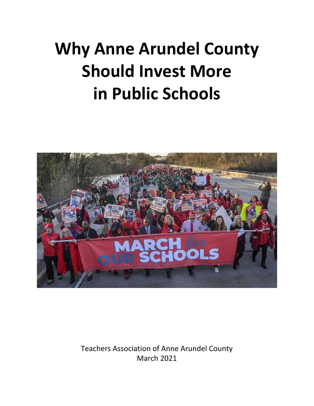## **Why Anne Arundel County Should Invest More in Public Schools**



Teachers Association of Anne Arundel County March 2021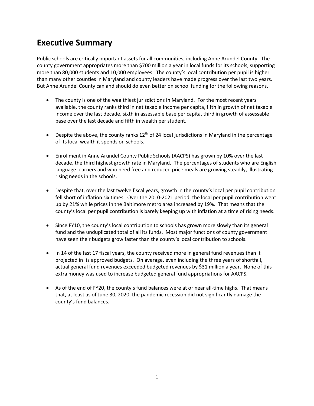#### **Executive Summary**

Public schools are critically important assets for all communities, including Anne Arundel County. The county government appropriates more than \$700 million a year in local funds for its schools, supporting more than 80,000 students and 10,000 employees. The county's local contribution per pupil is higher than many other counties in Maryland and county leaders have made progress over the last two years. But Anne Arundel County can and should do even better on school funding for the following reasons.

- The county is one of the wealthiest jurisdictions in Maryland. For the most recent years available, the county ranks third in net taxable income per capita, fifth in growth of net taxable income over the last decade, sixth in assessable base per capita, third in growth of assessable base over the last decade and fifth in wealth per student.
- Despite the above, the county ranks  $12<sup>th</sup>$  of 24 local jurisdictions in Maryland in the percentage of its local wealth it spends on schools.
- Enrollment in Anne Arundel County Public Schools (AACPS) has grown by 10% over the last decade, the third highest growth rate in Maryland. The percentages of students who are English language learners and who need free and reduced price meals are growing steadily, illustrating rising needs in the schools.
- Despite that, over the last twelve fiscal years, growth in the county's local per pupil contribution fell short of inflation six times. Over the 2010-2021 period, the local per pupil contribution went up by 21% while prices in the Baltimore metro area increased by 19%. That means that the county's local per pupil contribution is barely keeping up with inflation at a time of rising needs.
- Since FY10, the county's local contribution to schools has grown more slowly than its general fund and the unduplicated total of all its funds. Most major functions of county government have seen their budgets grow faster than the county's local contribution to schools.
- In 14 of the last 17 fiscal years, the county received more in general fund revenues than it projected in its approved budgets. On average, even including the three years of shortfall, actual general fund revenues exceeded budgeted revenues by \$31 million a year. None of this extra money was used to increase budgeted general fund appropriations for AACPS.
- As of the end of FY20, the county's fund balances were at or near all-time highs. That means that, at least as of June 30, 2020, the pandemic recession did not significantly damage the county's fund balances.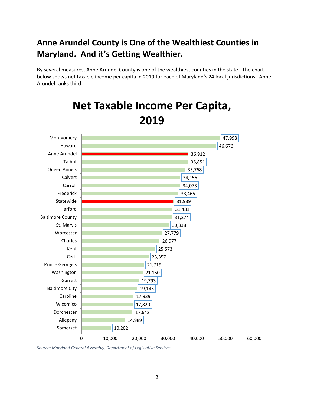#### **Anne Arundel County is One of the Wealthiest Counties in Maryland. And it's Getting Wealthier.**

By several measures, Anne Arundel County is one of the wealthiest counties in the state. The chart below shows net taxable income per capita in 2019 for each of Maryland's 24 local jurisdictions. Anne Arundel ranks third.



## **Net Taxable Income Per Capita, 2019**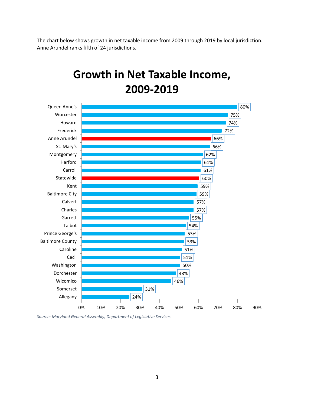The chart below shows growth in net taxable income from 2009 through 2019 by local jurisdiction. Anne Arundel ranks fifth of 24 jurisdictions.

### **Growth in Net Taxable Income, 2009-2019**

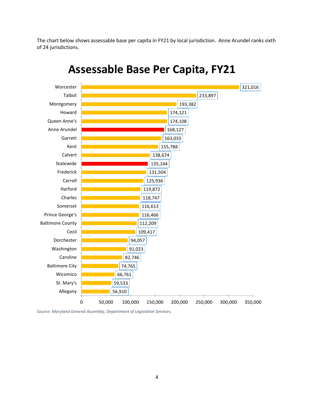The chart below shows assessable base per capita in FY21 by local jurisdiction. Anne Arundel ranks sixth of 24 jurisdictions.



#### **Assessable Base Per Capita, FY21**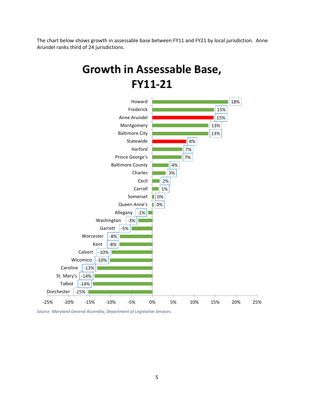The chart below shows growth in assessable base between FY11 and FY21 by local jurisdiction. Anne Arundel ranks third of 24 jurisdictions.

## **Growth in Assessable Base, FY11-21**

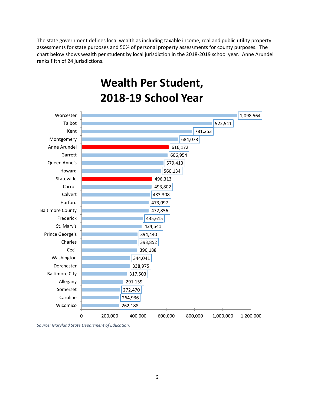The state government defines local wealth as including taxable income, real and public utility property assessments for state purposes and 50% of personal property assessments for county purposes. The chart below shows wealth per student by local jurisdiction in the 2018-2019 school year. Anne Arundel ranks fifth of 24 jurisdictions.

**Wealth Per Student,**



*Source: Maryland State Department of Education.*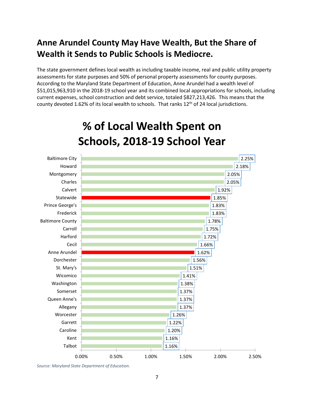#### **Anne Arundel County May Have Wealth, But the Share of Wealth it Sends to Public Schools is Mediocre.**

The state government defines local wealth as including taxable income, real and public utility property assessments for state purposes and 50% of personal property assessments for county purposes. According to the Maryland State Department of Education, Anne Arundel had a wealth level of \$51,015,963,910 in the 2018-19 school year and its combined local appropriations for schools, including current expenses, school construction and debt service, totaled \$827,213,426. This means that the county devoted 1.62% of its local wealth to schools. That ranks 12<sup>th</sup> of 24 local jurisdictions.



## **% of Local Wealth Spent on Schools, 2018-19 School Year**

*Source: Maryland State Department of Education.*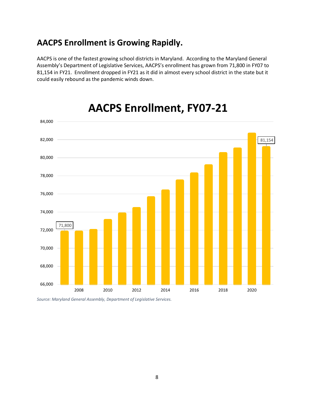#### **AACPS Enrollment is Growing Rapidly.**

AACPS is one of the fastest growing school districts in Maryland. According to the Maryland General Assembly's Department of Legislative Services, AACPS's enrollment has grown from 71,800 in FY07 to 81,154 in FY21. Enrollment dropped in FY21 as it did in almost every school district in the state but it could easily rebound as the pandemic winds down.



#### **AACPS Enrollment, FY07-21**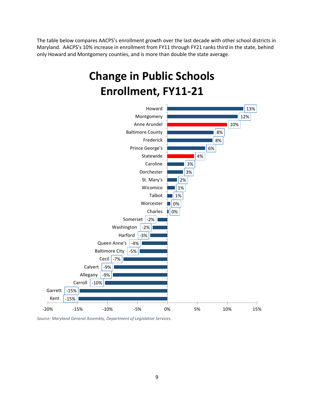The table below compares AACPS's enrollment growth over the last decade with other school districts in Maryland. AACPS's 10% increase in enrollment from FY11 through FY21 ranks third in the state, behind only Howard and Montgomery counties, and is more than double the state average.

## **Change in Public Schools Enrollment, FY11-21**

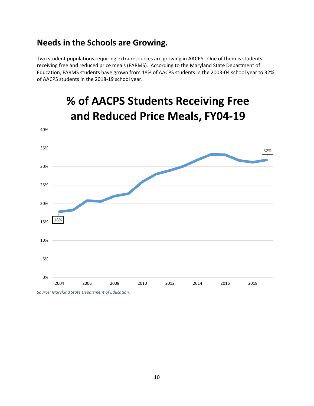#### **Needs in the Schools are Growing.**

Two student populations requiring extra resources are growing in AACPS. One of them is students receiving free and reduced price meals (FARMS). According to the Maryland State Department of Education, FARMS students have grown from 18% of AACPS students in the 2003-04 school year to 32% of AACPS students in the 2018-19 school year.



### **% of AACPS Students Receiving Free and Reduced Price Meals, FY04-19**

*Source: Maryland State Department of Education.*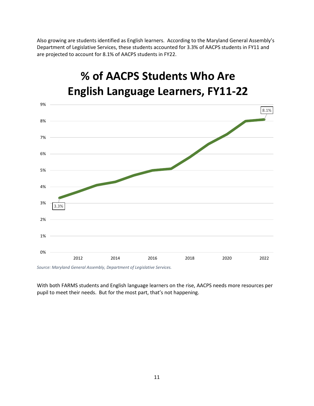Also growing are students identified as English learners. According to the Maryland General Assembly's Department of Legislative Services, these students accounted for 3.3% of AACPS students in FY11 and are projected to account for 8.1% of AACPS students in FY22.



# **% of AACPS Students Who Are**

*Source: Maryland General Assembly, Department of Legislative Services.*

With both FARMS students and English language learners on the rise, AACPS needs more resources per pupil to meet their needs. But for the most part, that's not happening.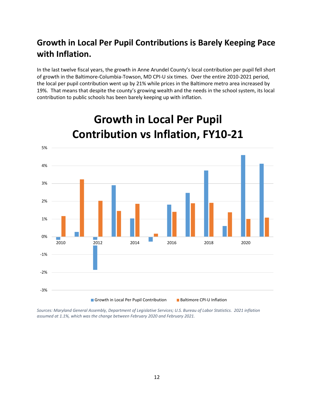#### **Growth in Local Per Pupil Contributions is Barely Keeping Pace with Inflation.**

In the last twelve fiscal years, the growth in Anne Arundel County's local contribution per pupil fell short of growth in the Baltimore-Columbia-Towson, MD CPI-U six times. Over the entire 2010-2021 period, the local per pupil contribution went up by 21% while prices in the Baltimore metro area increased by 19%. That means that despite the county's growing wealth and the needs in the school system, its local contribution to public schools has been barely keeping up with inflation.



## **Growth in Local Per Pupil Contribution vs Inflation, FY10-21**

*Sources: Maryland General Assembly, Department of Legislative Services; U.S. Bureau of Labor Statistics. 2021 inflation assumed at 1.1%, which was the change between February 2020 and February 2021.*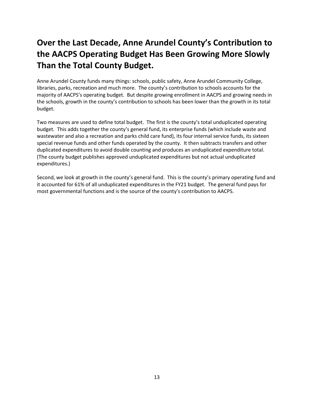#### **Over the Last Decade, Anne Arundel County's Contribution to the AACPS Operating Budget Has Been Growing More Slowly Than the Total County Budget.**

Anne Arundel County funds many things: schools, public safety, Anne Arundel Community College, libraries, parks, recreation and much more. The county's contribution to schools accounts for the majority of AACPS's operating budget. But despite growing enrollment in AACPS and growing needs in the schools, growth in the county's contribution to schools has been lower than the growth in its total budget.

Two measures are used to define total budget. The first is the county's total unduplicated operating budget. This adds together the county's general fund, its enterprise funds (which include waste and wastewater and also a recreation and parks child care fund), its four internal service funds, its sixteen special revenue funds and other funds operated by the county. It then subtracts transfers and other duplicated expenditures to avoid double counting and produces an unduplicated expenditure total. (The county budget publishes approved unduplicated expenditures but not actual unduplicated expenditures.)

Second, we look at growth in the county's general fund. This is the county's primary operating fund and it accounted for 61% of all unduplicated expenditures in the FY21 budget. The general fund pays for most governmental functions and is the source of the county's contribution to AACPS.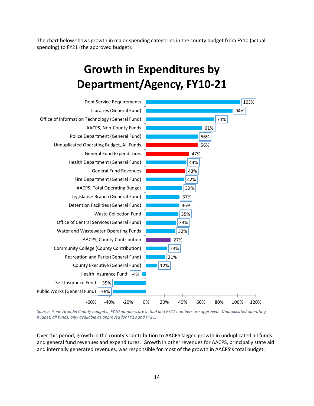The chart below shows growth in major spending categories in the county budget from FY10 (actual spending) to FY21 (the approved budget).

## **Growth in Expenditures by Department/Agency, FY10-21**



*Source: Anne Arundel County budgets. FY10 numbers are actual and FY21 numbers are approved. Unduplicated operating budget, all funds, only available as approved for FY10 and FY21.*

Over this period, growth in the county's contribution to AACPS lagged growth in unduplicated all funds and general fund revenues and expenditures. Growth in other revenues for AACPS, principally state aid and internally generated revenues, was responsible for most of the growth in AACPS's total budget.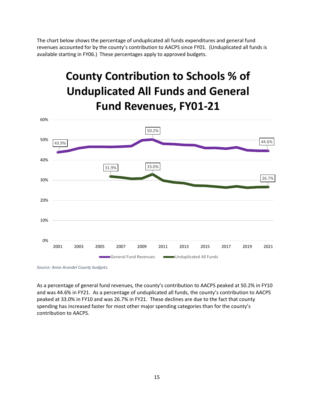The chart below shows the percentage of unduplicated all funds expenditures and general fund revenues accounted for by the county's contribution to AACPS since FY01. (Unduplicated all funds is available starting in FY06.) These percentages apply to approved budgets.

## **County Contribution to Schools % of Unduplicated All Funds and General Fund Revenues, FY01-21**



*Source: Anne Arundel County budgets.*

As a percentage of general fund revenues, the county's contribution to AACPS peaked at 50.2% in FY10 and was 44.6% in FY21. As a percentage of unduplicated all funds, the county's contribution to AACPS peaked at 33.0% in FY10 and was 26.7% in FY21. These declines are due to the fact that county spending has increased faster for most other major spending categories than for the county's contribution to AACPS.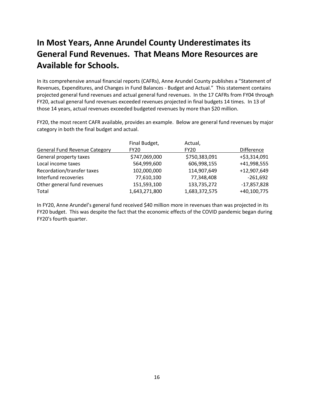#### **In Most Years, Anne Arundel County Underestimates its General Fund Revenues. That Means More Resources are Available for Schools.**

In its comprehensive annual financial reports (CAFRs), Anne Arundel County publishes a "Statement of Revenues, Expenditures, and Changes in Fund Balances - Budget and Actual." This statement contains projected general fund revenues and actual general fund revenues. In the 17 CAFRs from FY04 through FY20, actual general fund revenues exceeded revenues projected in final budgets 14 times. In 13 of those 14 years, actual revenues exceeded budgeted revenues by more than \$20 million.

FY20, the most recent CAFR available, provides an example. Below are general fund revenues by major category in both the final budget and actual.

| Final Budget, | Actual,       |                   |
|---------------|---------------|-------------------|
| <b>FY20</b>   | <b>FY20</b>   | <b>Difference</b> |
| \$747,069,000 | \$750,383,091 | +\$3,314,091      |
| 564,999,600   | 606,998,155   | +41,998,555       |
| 102,000,000   | 114,907,649   | +12,907,649       |
| 77,610,100    | 77,348,408    | $-261,692$        |
| 151,593,100   | 133,735,272   | $-17,857,828$     |
| 1,643,271,800 | 1,683,372,575 | +40,100,775       |
|               |               |                   |

In FY20, Anne Arundel's general fund received \$40 million more in revenues than was projected in its FY20 budget. This was despite the fact that the economic effects of the COVID pandemic began during FY20's fourth quarter.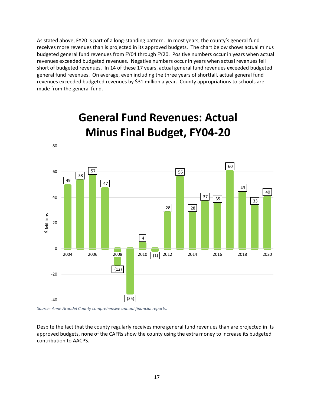As stated above, FY20 is part of a long-standing pattern. In most years, the county's general fund receives more revenues than is projected in its approved budgets. The chart below shows actual minus budgeted general fund revenues from FY04 through FY20. Positive numbers occur in years when actual revenues exceeded budgeted revenues. Negative numbers occur in years when actual revenues fell short of budgeted revenues. In 14 of these 17 years, actual general fund revenues exceeded budgeted general fund revenues. On average, even including the three years of shortfall, actual general fund revenues exceeded budgeted revenues by \$31 million a year. County appropriations to schools are made from the general fund.



## **General Fund Revenues: Actual Minus Final Budget, FY04-20**

*Source: Anne Arundel County comprehensive annual financial reports.*

Despite the fact that the county regularly receives more general fund revenues than are projected in its approved budgets, none of the CAFRs show the county using the extra money to increase its budgeted contribution to AACPS.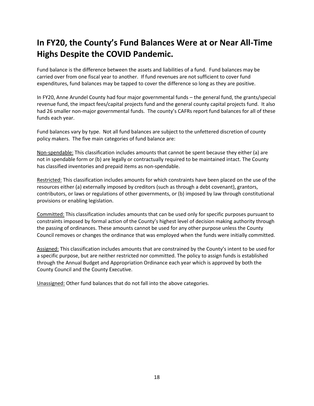#### **In FY20, the County's Fund Balances Were at or Near All-Time Highs Despite the COVID Pandemic.**

Fund balance is the difference between the assets and liabilities of a fund. Fund balances may be carried over from one fiscal year to another. If fund revenues are not sufficient to cover fund expenditures, fund balances may be tapped to cover the difference so long as they are positive.

In FY20, Anne Arundel County had four major governmental funds – the general fund, the grants/special revenue fund, the impact fees/capital projects fund and the general county capital projects fund. It also had 26 smaller non-major governmental funds. The county's CAFRs report fund balances for all of these funds each year.

Fund balances vary by type. Not all fund balances are subject to the unfettered discretion of county policy makers. The five main categories of fund balance are:

Non-spendable: This classification includes amounts that cannot be spent because they either (a) are not in spendable form or (b) are legally or contractually required to be maintained intact. The County has classified inventories and prepaid items as non-spendable.

Restricted: This classification includes amounts for which constraints have been placed on the use of the resources either (a) externally imposed by creditors (such as through a debt covenant), grantors, contributors, or laws or regulations of other governments, or (b) imposed by law through constitutional provisions or enabling legislation.

Committed: This classification includes amounts that can be used only for specific purposes pursuant to constraints imposed by formal action of the County's highest level of decision making authority through the passing of ordinances. These amounts cannot be used for any other purpose unless the County Council removes or changes the ordinance that was employed when the funds were initially committed.

Assigned: This classification includes amounts that are constrained by the County's intent to be used for a specific purpose, but are neither restricted nor committed. The policy to assign funds is established through the Annual Budget and Appropriation Ordinance each year which is approved by both the County Council and the County Executive.

Unassigned: Other fund balances that do not fall into the above categories.